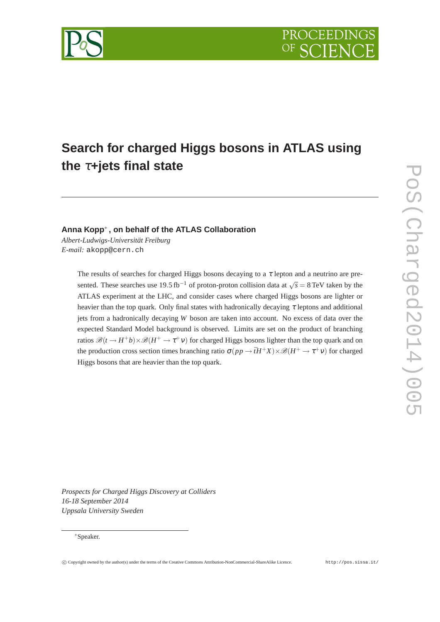

# **Search for charged Higgs bosons in ATLAS using the** <sup>τ</sup>**+jets final state**

# **Anna Kopp**∗ **, on behalf of the ATLAS Collaboration**

*Albert-Ludwigs-Universität Freiburg E-mail:* akopp@cern.ch

> The results of searches for charged Higgs bosons decaying to a  $\tau$  lepton and a neutrino are presented. These searches use 19.5 fb<sup>-1</sup> of proton-proton collision data at  $\sqrt{s} = 8 \text{ TeV}$  taken by the ATLAS experiment at the LHC, and consider cases where charged Higgs bosons are lighter or heavier than the top quark. Only final states with hadronically decaying  $\tau$  leptons and additional jets from a hadronically decaying *W* boson are taken into account. No excess of data over the expected Standard Model background is observed. Limits are set on the product of branching ratios  $\mathscr{B}(t \to H^+b) \times \mathscr{B}(H^+ \to \tau^+ \nu)$  for charged Higgs bosons lighter than the top quark and on the production cross section times branching ratio  $\sigma(p p \to \bar{t} H^+ X) \times \mathcal{B}(H^+ \to \tau^+ \nu)$  for charged Higgs bosons that are heavier than the top quark.

*Prospects for Charged Higgs Discovery at Colliders 16-18 September 2014 Uppsala University Sweden*

## ∗Speaker.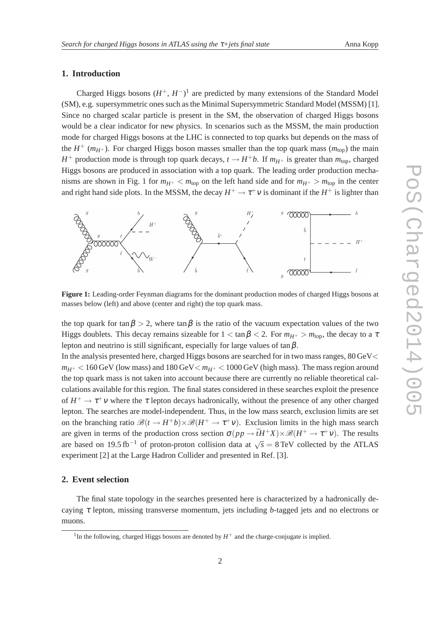## **1. Introduction**

Charged Higgs bosons  $(H^+, H^-)^1$  are predicted by many extensions of the Standard Model (SM), e.g. supersymmetric ones such as the Minimal Supersymmetric Standard Model (MSSM) [1]. Since no charged scalar particle is present in the SM, the observation of charged Higgs bosons would be a clear indicator for new physics. In scenarios such as the MSSM, the main production mode for charged Higgs bosons at the LHC is connected to top quarks but depends on the mass of the  $H^+$  ( $m_{H^+}$ ). For charged Higgs boson masses smaller than the top quark mass ( $m_{top}$ ) the main *H*<sup>+</sup> production mode is through top quark decays,  $t \rightarrow H^+b$ . If  $m_{H^+}$  is greater than  $m_{top}$ , charged Higgs bosons are produced in association with a top quark. The leading order production mechanisms are shown in Fig. 1 for  $m_{H^+} < m_{\text{top}}$  on the left hand side and for  $m_{H^+} > m_{\text{top}}$  in the center and right hand side plots. In the MSSM, the decay  $H^+ \to \tau^+ \nu$  is dominant if the  $H^+$  is lighter than



**Figure 1:** Leading-order Feynman diagrams for the dominant production modes of charged Higgs bosons at masses below (left) and above (center and right) the top quark mass.

the top quark for tan  $\beta > 2$ , where tan  $\beta$  is the ratio of the vacuum expectation values of the two Higgs doublets. This decay remains sizeable for  $1 < \tan \beta < 2$ . For  $m_{H^+} > m_{\text{top}}$ , the decay to a  $\tau$ lepton and neutrino is still significant, especially for large values of  $\tan \beta$ .

In the analysis presented here, charged Higgs bosons are searched for in two mass ranges, 80 GeV<  $m_{H^+}$  < 160 GeV (low mass) and 180 GeV  $< m_{H^+}$  < 1000 GeV (high mass). The mass region around the top quark mass is not taken into account because there are currently no reliable theoretical calculations available for this region. The final states considered in these searches exploit the presence of  $H^+ \to \tau^+ \nu$  where the  $\tau$  lepton decays hadronically, without the presence of any other charged lepton. The searches are model-independent. Thus, in the low mass search, exclusion limits are set on the branching ratio  $\mathscr{B}(t \to H^+b) \times \mathscr{B}(H^+ \to \tau^+ \nu)$ . Exclusion limits in the high mass search are given in terms of the production cross section  $\sigma(p p \to \bar{t} H^+ X) \times \mathcal{B}(H^+ \to \tau^+ \nu)$ . The results are based on 19.5 fb<sup>-1</sup> of proton-proton collision data at  $\sqrt{s} = 8 \text{ TeV}$  collected by the ATLAS experiment [2] at the Large Hadron Collider and presented in Ref. [3].

## **2. Event selection**

The final state topology in the searches presented here is characterized by a hadronically decaying <sup>τ</sup> lepton, missing transverse momentum, jets including *b*-tagged jets and no electrons or muons.

<sup>&</sup>lt;sup>1</sup>In the following, charged Higgs bosons are denoted by  $H^+$  and the charge-conjugate is implied.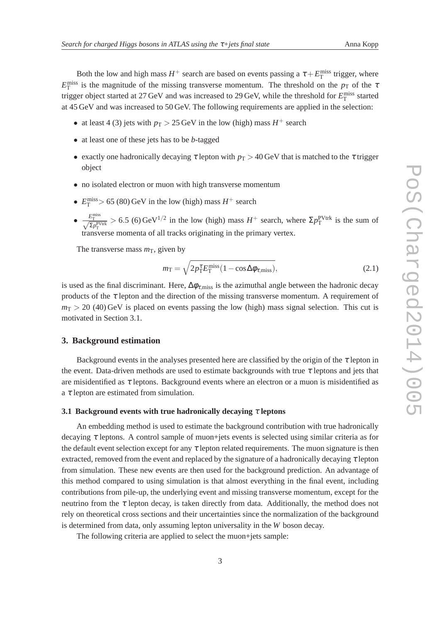Both the low and high mass  $H^+$  search are based on events passing a  $\tau + E_T^{\text{miss}}$  trigger, where  $E_{\rm T}^{\rm miss}$  is the magnitude of the missing transverse momentum. The threshold on the  $p_{\rm T}$  of the  $\tau$ trigger object started at 27 GeV and was increased to 29 GeV, while the threshold for  $E_{\text{T}}^{\text{miss}}$  started at 45 GeV and was increased to 50 GeV. The following requirements are applied in the selection:

- at least 4 (3) jets with  $p_T > 25$  GeV in the low (high) mass  $H^+$  search
- at least one of these jets has to be *b*-tagged
- exactly one hadronically decaying  $\tau$  lepton with  $p_T > 40$  GeV that is matched to the  $\tau$  trigger object
- no isolated electron or muon with high transverse momentum
- $E_{\rm T}^{\rm miss}$  > 65 (80) GeV in the low (high) mass  $H^+$  search
- $\frac{E_{\rm T}^{\rm miss}}{\sqrt{\Sigma p_{\rm T}^{\rm PVtrk}}} > 6.5$  (6) GeV<sup>1/2</sup> in the low (high) mass  $H^+$  search, where  $\Sigma p_{\rm T}^{\rm PVtrk}$  is the sum of transverse momenta of all tracks originating in the primary vertex.

The transverse mass  $m<sub>T</sub>$ , given by

$$
m_{\rm T} = \sqrt{2p_{\rm T}^{\tau}E_{\rm T}^{\rm miss}(1 - \cos\Delta\phi_{\tau,\rm miss})},\tag{2.1}
$$

is used as the final discriminant. Here,  $\Delta\phi_{\tau,\text{miss}}$  is the azimuthal angle between the hadronic decay products of the  $\tau$  lepton and the direction of the missing transverse momentum. A requirement of  $m<sub>T</sub> > 20$  (40) GeV is placed on events passing the low (high) mass signal selection. This cut is motivated in Section 3.1.

## **3. Background estimation**

Background events in the analyses presented here are classified by the origin of the  $\tau$  lepton in the event. Data-driven methods are used to estimate backgrounds with true  $\tau$  leptons and jets that are misidentified as  $\tau$  leptons. Background events where an electron or a muon is misidentified as a  $\tau$  lepton are estimated from simulation.

## **3.1 Background events with true hadronically decaying** <sup>τ</sup> **leptons**

An embedding method is used to estimate the background contribution with true hadronically decaying  $\tau$  leptons. A control sample of muon+jets events is selected using similar criteria as for the default event selection except for any  $\tau$  lepton related requirements. The muon signature is then extracted, removed from the event and replaced by the signature of a hadronically decaying  $\tau$  lepton from simulation. These new events are then used for the background prediction. An advantage of this method compared to using simulation is that almost everything in the final event, including contributions from pile-up, the underlying event and missing transverse momentum, except for the neutrino from the  $\tau$  lepton decay, is taken directly from data. Additionally, the method does not rely on theoretical cross sections and their uncertainties since the normalization of the background is determined from data, only assuming lepton universality in the *W* boson decay.

The following criteria are applied to select the muon+jets sample: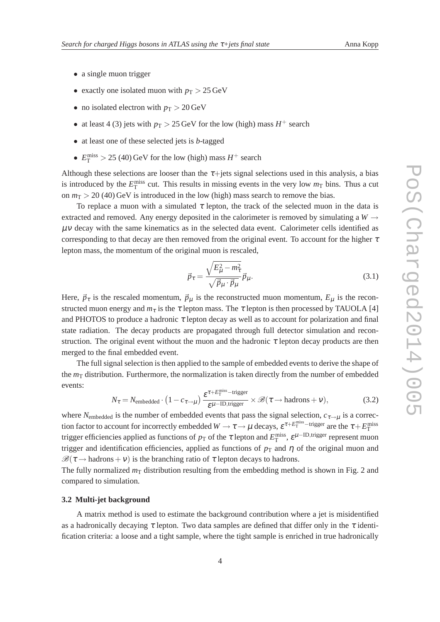- a single muon trigger
- exactly one isolated muon with  $p_T > 25 \,\text{GeV}$
- no isolated electron with  $p_T > 20 \,\text{GeV}$
- at least 4 (3) jets with  $p_T > 25$  GeV for the low (high) mass  $H^+$  search
- at least one of these selected jets is *b*-tagged
- $E_{\rm T}^{\rm miss} > 25$  (40) GeV for the low (high) mass  $H^+$  search

Although these selections are looser than the  $\tau$ +jets signal selections used in this analysis, a bias is introduced by the  $E_{\rm T}^{\rm miss}$  cut. This results in missing events in the very low  $m_{\rm T}$  bins. Thus a cut on  $m<sub>T</sub> > 20$  (40) GeV is introduced in the low (high) mass search to remove the bias.

To replace a muon with a simulated  $\tau$  lepton, the track of the selected muon in the data is extracted and removed. Any energy deposited in the calorimeter is removed by simulating a  $W \rightarrow$  $\mu$ v decay with the same kinematics as in the selected data event. Calorimeter cells identified as corresponding to that decay are then removed from the original event. To account for the higher  $\tau$ lepton mass, the momentum of the original muon is rescaled,

$$
\vec{p}_{\tau} = \frac{\sqrt{E_{\mu}^2 - m_{\tau}^2}}{\sqrt{\vec{p}_{\mu} \cdot \vec{p}_{\mu}}} \vec{p}_{\mu}.
$$
\n(3.1)

Here,  $\vec{p}_{\tau}$  is the rescaled momentum,  $\vec{p}_{\mu}$  is the reconstructed muon momentum,  $E_{\mu}$  is the reconstructed muon energy and  $m<sub>\tau</sub>$  is the  $\tau$  lepton mass. The  $\tau$  lepton is then processed by TAUOLA [4] and PHOTOS to produce a hadronic  $\tau$  lepton decay as well as to account for polarization and final state radiation. The decay products are propagated through full detector simulation and reconstruction. The original event without the muon and the hadronic  $\tau$  lepton decay products are then merged to the final embedded event.

The full signal selection is then applied to the sample of embedded events to derive the shape of the  $m<sub>T</sub>$  distribution. Furthermore, the normalization is taken directly from the number of embedded events:

$$
N_{\tau} = N_{\text{embedded}} \cdot \left(1 - c_{\tau \to \mu}\right) \frac{\varepsilon^{\tau + E_{\text{T}}^{\text{miss}} - \text{trigger}}}{\varepsilon^{\mu - \text{ID, trigger}}} \times \mathcal{B}(\tau \to \text{hadrons} + \nu),\tag{3.2}
$$

where  $N_{\text{embedded}}$  is the number of embedded events that pass the signal selection,  $c_{\tau\rightarrow\mu}$  is a correction factor to account for incorrectly embedded  $W \to \tau \to \mu$  decays,  $\varepsilon^{\tau+E_{\text{T}}^{\text{miss}-\text{trigger}}}$  are the  $\tau+E_{\text{T}}^{\text{miss}}$ trigger efficiencies applied as functions of  $p_T$  of the  $\tau$  lepton and  $E_T^{\text{miss}}, \varepsilon^{\mu-\text{ID,trigger}}$  represent muon trigger and identification efficiencies, applied as functions of  $p<sub>T</sub>$  and  $\eta$  of the original muon and  $\mathcal{B}(\tau \to \text{hadrons}+\nu)$  is the branching ratio of  $\tau$  lepton decays to hadrons.

The fully normalized  $m<sub>T</sub>$  distribution resulting from the embedding method is shown in Fig. 2 and compared to simulation.

#### **3.2 Multi-jet background**

A matrix method is used to estimate the background contribution where a jet is misidentified as a hadronically decaying  $\tau$  lepton. Two data samples are defined that differ only in the  $\tau$  identification criteria: a loose and a tight sample, where the tight sample is enriched in true hadronically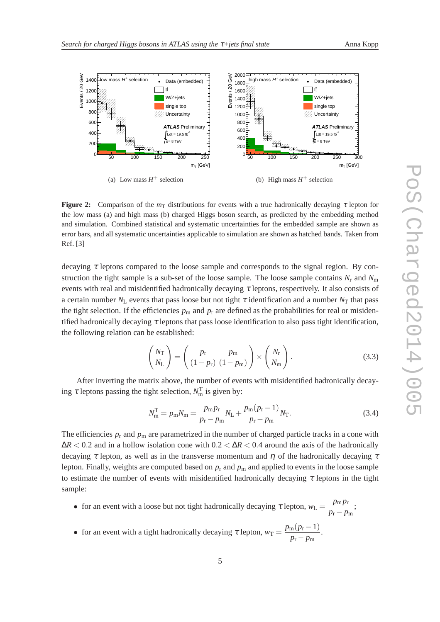

**Figure 2:** Comparison of the  $m<sub>T</sub>$  distributions for events with a true hadronically decaying  $\tau$  lepton for the low mass (a) and high mass (b) charged Higgs boson search, as predicted by the embedding method and simulation. Combined statistical and systematic uncertainties for the embedded sample are shown as error bars, and all systematic uncertainties applicable to simulation are shown as hatched bands. Taken from Ref. [3]

decaying  $\tau$  leptons compared to the loose sample and corresponds to the signal region. By construction the tight sample is a sub-set of the loose sample. The loose sample contains  $N_r$  and  $N_m$ events with real and misidentified hadronically decaying  $\tau$  leptons, respectively. It also consists of a certain number  $N_L$  events that pass loose but not tight  $\tau$  identification and a number  $N_T$  that pass the tight selection. If the efficiencies  $p_m$  and  $p_r$  are defined as the probabilities for real or misidentified hadronically decaying  $\tau$  leptons that pass loose identification to also pass tight identification, the following relation can be established:

$$
\begin{pmatrix} N_{\rm T} \\ N_{\rm L} \end{pmatrix} = \begin{pmatrix} p_{\rm r} & p_{\rm m} \\ (1 - p_{\rm r}) & (1 - p_{\rm m}) \end{pmatrix} \times \begin{pmatrix} N_{\rm r} \\ N_{\rm m} \end{pmatrix}.
$$
 (3.3)

After inverting the matrix above, the number of events with misidentified hadronically decaying  $\tau$  leptons passing the tight selection,  $N_{\text{m}}^{\text{T}}$  is given by:

$$
N_{\rm m}^{\rm T} = p_{\rm m} N_{\rm m} = \frac{p_{\rm m} p_{\rm r}}{p_{\rm r} - p_{\rm m}} N_{\rm L} + \frac{p_{\rm m} (p_{\rm r} - 1)}{p_{\rm r} - p_{\rm m}} N_{\rm T}.
$$
 (3.4)

The efficiencies  $p_r$  and  $p_m$  are parametrized in the number of charged particle tracks in a cone with  $\Delta R$  < 0.2 and in a hollow isolation cone with  $0.2 < \Delta R$  < 0.4 around the axis of the hadronically decaying  $\tau$  lepton, as well as in the transverse momentum and  $\eta$  of the hadronically decaying  $\tau$ lepton. Finally, weights are computed based on  $p_r$  and  $p_m$  and applied to events in the loose sample to estimate the number of events with misidentified hadronically decaying  $\tau$  leptons in the tight sample:

- for an event with a loose but not tight hadronically decaying  $\tau$  lepton,  $w_L = \frac{p_m p_r}{p_r p_r}$  $\frac{P^{\text{III}}P^{\text{T}}}{p_{\text{r}}-p_{\text{m}}};$
- for an event with a tight hadronically decaying  $\tau$  lepton,  $w_T = \frac{p_m(p_r 1)}{p_r p_m}$  $\frac{m(p_1 - 1)}{p_r - p_m}$ .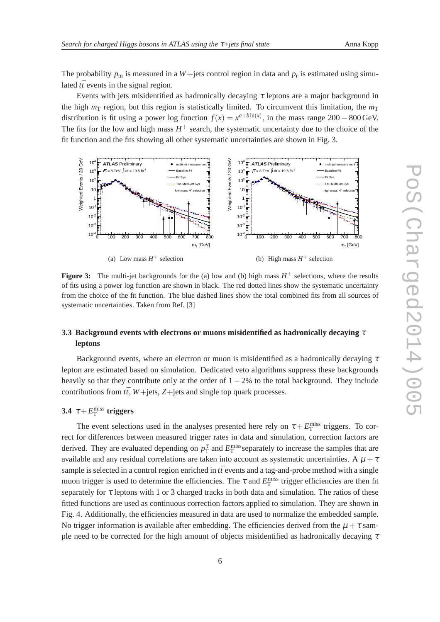The probability  $p_m$  is measured in a  $W +$ jets control region in data and  $p_r$  is estimated using simulated  $t\bar{t}$  events in the signal region.

Events with jets misidentified as hadronically decaying  $\tau$  leptons are a major background in the high  $m<sub>T</sub>$  region, but this region is statistically limited. To circumvent this limitation, the  $m<sub>T</sub>$ distribution is fit using a power log function  $f(x) = x^{a+b\ln(x)}$ , in the mass range 200 – 800 GeV. The fits for the low and high mass  $H^+$  search, the systematic uncertainty due to the choice of the fit function and the fits showing all other systematic uncertainties are shown in Fig. 3.



**Figure 3:** The multi-jet backgrounds for the (a) low and (b) high mass  $H^+$  selections, where the results of fits using a power log function are shown in black. The red dotted lines show the systematic uncertainty from the choice of the fit function. The blue dashed lines show the total combined fits from all sources of systematic uncertainties. Taken from Ref. [3]

# **3.3 Background events with electrons or muons misidentified as hadronically decaying** <sup>τ</sup> **leptons**

Background events, where an electron or muon is misidentified as a hadronically decaying  $\tau$ lepton are estimated based on simulation. Dedicated veto algorithms suppress these backgrounds heavily so that they contribute only at the order of  $1 - 2%$  to the total background. They include contributions from  $t\bar{t}$ ,  $W$ +jets,  $Z$ +jets and single top quark processes.

# **3.4**  $\tau + E_{\text{T}}^{\text{miss}}$  triggers

The event selections used in the analyses presented here rely on  $\tau + E_T^{\text{miss}}$  triggers. To correct for differences between measured trigger rates in data and simulation, correction factors are derived. They are evaluated depending on  $p_T^{\tau}$  and  $E_T^{\text{miss}}$  separately to increase the samples that are available and any residual correlations are taken into account as systematic uncertainties. A  $\mu + \tau$ sample is selected in a control region enriched in  $t\bar{t}$  events and a tag-and-probe method with a single muon trigger is used to determine the efficiencies. The  $\tau$  and  $E_T^{\text{miss}}$  trigger efficiencies are then fit separately for  $\tau$  leptons with 1 or 3 charged tracks in both data and simulation. The ratios of these fitted functions are used as continuous correction factors applied to simulation. They are shown in Fig. 4. Additionally, the efficiencies measured in data are used to normalize the embedded sample. No trigger information is available after embedding. The efficiencies derived from the  $\mu + \tau$  sample need to be corrected for the high amount of objects misidentified as hadronically decaying  $\tau$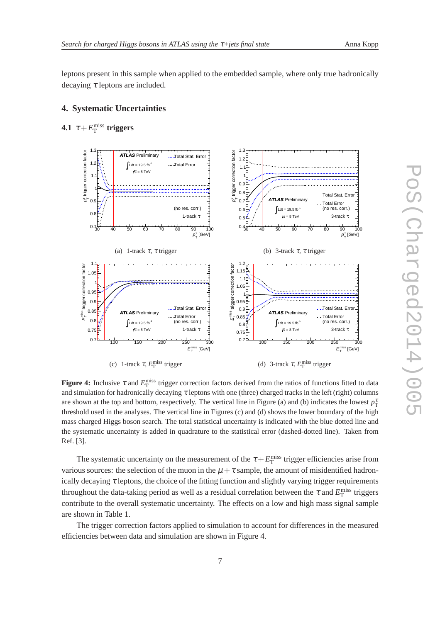leptons present in this sample when applied to the embedded sample, where only true hadronically decaying  $\tau$  leptons are included.

## **4. Systematic Uncertainties**



**4.1**  $\tau + E_{\text{T}}^{\text{miss}}$  triggers

**Figure 4:** Inclusive  $\tau$  and  $E_T^{\text{miss}}$  trigger correction factors derived from the ratios of functions fitted to data and simulation for hadronically decaying  $\tau$  leptons with one (three) charged tracks in the left (right) columns are shown at the top and bottom, respectively. The vertical line in Figure (a) and (b) indicates the lowest  $p_T^{\tau}$ threshold used in the analyses. The vertical line in Figures (c) and (d) shows the lower boundary of the high mass charged Higgs boson search. The total statistical uncertainty is indicated with the blue dotted line and the systematic uncertainty is added in quadrature to the statistical error (dashed-dotted line). Taken from Ref. [3].

The systematic uncertainty on the measurement of the  $\tau + E_T^{\text{miss}}$  trigger efficiencies arise from various sources: the selection of the muon in the  $\mu + \tau$  sample, the amount of misidentified hadronically decaying  $\tau$  leptons, the choice of the fitting function and slightly varying trigger requirements throughout the data-taking period as well as a residual correlation between the  $\tau$  and  $E_{\rm T}^{\rm miss}$  triggers contribute to the overall systematic uncertainty. The effects on a low and high mass signal sample are shown in Table 1.

The trigger correction factors applied to simulation to account for differences in the measured efficiencies between data and simulation are shown in Figure 4.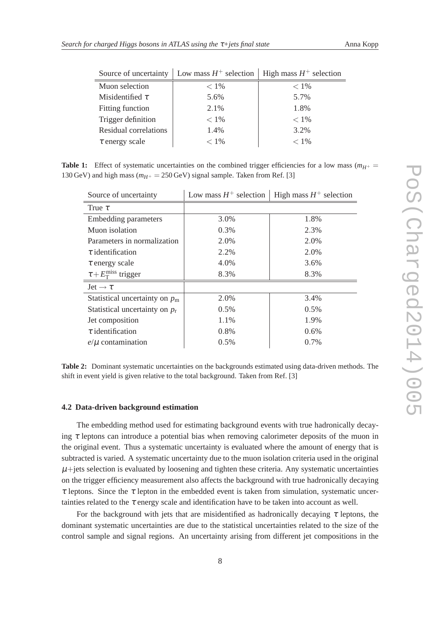|                       | Source of uncertainty   Low mass $H^+$ selection   High mass $H^+$ selection |         |
|-----------------------|------------------------------------------------------------------------------|---------|
| Muon selection        | $< 1\%$                                                                      | $< 1\%$ |
| Misidentified $\tau$  | 5.6%                                                                         | 5.7%    |
| Fitting function      | 2.1%                                                                         | 1.8%    |
| Trigger definition    | $< 1\%$                                                                      | $< 1\%$ |
| Residual correlations | 1.4%                                                                         | 3.2%    |
| $\tau$ energy scale   | $< 1\%$                                                                      | $< 1\%$ |

**Table 1:** Effect of systematic uncertainties on the combined trigger efficiencies for a low mass ( $m_{H^+}$  = 130 GeV) and high mass ( $m_{H^+} = 250$  GeV) signal sample. Taken from Ref. [3]

| Source of uncertainty                 | Low mass $H^+$ selection | High mass $H^+$ selection |
|---------------------------------------|--------------------------|---------------------------|
| True $\tau$                           |                          |                           |
| <b>Embedding parameters</b>           | 3.0%                     | 1.8%                      |
| Muon isolation                        | 0.3%                     | 2.3%                      |
| Parameters in normalization           | 2.0%                     | 2.0%                      |
| $\tau$ identification                 | 2.2%                     | 2.0%                      |
| $\tau$ energy scale                   | 4.0%                     | 3.6%                      |
| $\tau + E_{\rm T}^{\rm miss}$ trigger | 8.3%                     | 8.3%                      |
| Jet $\rightarrow \tau$                |                          |                           |
| Statistical uncertainty on $p_m$      | 2.0%                     | 3.4%                      |
| Statistical uncertainty on $p_r$      | 0.5%                     | 0.5%                      |
| Jet composition                       | 1.1%                     | 1.9%                      |
| $\tau$ identification                 | 0.8%                     | 0.6%                      |
| $e/\mu$ contamination                 | 0.5%                     | 0.7%                      |

**Table 2:** Dominant systematic uncertainties on the backgrounds estimated using data-driven methods. The shift in event yield is given relative to the total background. Taken from Ref. [3]

## **4.2 Data-driven background estimation**

The embedding method used for estimating background events with true hadronically decaying  $\tau$  leptons can introduce a potential bias when removing calorimeter deposits of the muon in the original event. Thus a systematic uncertainty is evaluated where the amount of energy that is subtracted is varied. A systematic uncertainty due to the muon isolation criteria used in the original  $\mu$ +jets selection is evaluated by loosening and tighten these criteria. Any systematic uncertainties on the trigger efficiency measurement also affects the background with true hadronically decaying  $\tau$  leptons. Since the  $\tau$  lepton in the embedded event is taken from simulation, systematic uncertainties related to the  $\tau$  energy scale and identification have to be taken into account as well.

For the background with jets that are misidentified as hadronically decaying  $\tau$  leptons, the dominant systematic uncertainties are due to the statistical uncertainties related to the size of the control sample and signal regions. An uncertainty arising from different jet compositions in the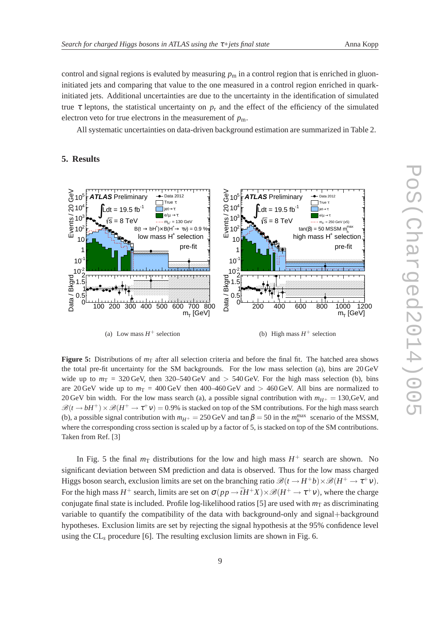control and signal regions is evaluted by measuring  $p<sub>m</sub>$  in a control region that is enriched in gluoninitiated jets and comparing that value to the one measured in a control region enriched in quarkinitiated jets. Additional uncertainties are due to the uncertainty in the identification of simulated true  $\tau$  leptons, the statistical uncertainty on  $p_r$  and the effect of the efficiency of the simulated electron veto for true electrons in the measurement of  $p_m$ .

All systematic uncertainties on data-driven background estimation are summarized in Table 2.

## **5. Results**



(a) Low mass  $H^+$  selection

(b) High mass  $H^+$  selection

**Figure 5:** Distributions of  $m<sub>T</sub>$  after all selection criteria and before the final fit. The hatched area shows the total pre-fit uncertainty for the SM backgrounds. For the low mass selection (a), bins are 20 GeV wide up to  $m<sub>T</sub> = 320$  GeV, then 320–540 GeV and  $> 540$  GeV. For the high mass selection (b), bins are 20 GeV wide up to  $m_T = 400 \text{ GeV}$  then 400–460 GeV and  $> 460 \text{ GeV}$ . All bins are normalized to 20 GeV bin width. For the low mass search (a), a possible signal contribution with  $m_{H^+} = 130$ , GeV, and  $\mathcal{B}(t \to bH^+) \times \mathcal{B}(H^+ \to \tau^+ \nu) = 0.9\%$  is stacked on top of the SM contributions. For the high mass search (b), a possible signal contribution with  $m_{H^+} = 250 \text{ GeV}$  and  $\tan \beta = 50$  in the  $m_h^{\text{max}}$  scenario of the MSSM, where the corresponding cross section is scaled up by a factor of 5, is stacked on top of the SM contributions. Taken from Ref. [3]

In Fig. 5 the final  $m<sub>T</sub>$  distributions for the low and high mass  $H<sup>+</sup>$  search are shown. No significant deviation between SM prediction and data is observed. Thus for the low mass charged Higgs boson search, exclusion limits are set on the branching ratio  $\mathcal{B}(t \to H^+b) \times \mathcal{B}(H^+ \to \tau^+v)$ . For the high mass  $H^+$  search, limits are set on  $\sigma(p p \to \bar{t} H^+ X) \times \mathscr{B}(H^+ \to \tau^+ \nu)$ , where the charge conjugate final state is included. Profile log-likelihood ratios [5] are used with  $m<sub>T</sub>$  as discriminating variable to quantify the compatibility of the data with background-only and signal+background hypotheses. Exclusion limits are set by rejecting the signal hypothesis at the 95% confidence level using the CL*<sup>s</sup>* procedure [6]. The resulting exclusion limits are shown in Fig. 6.